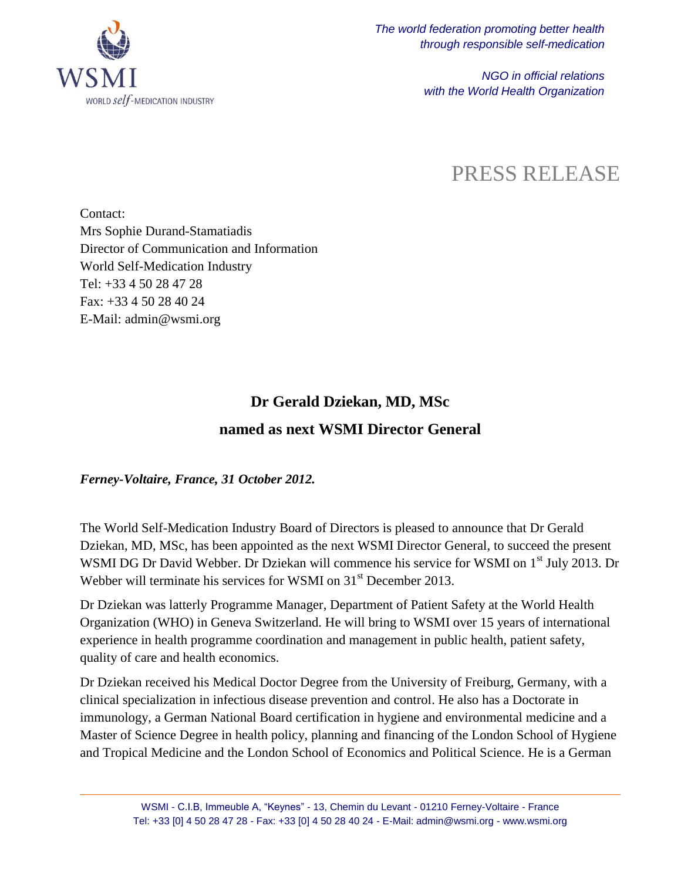

*NGO in official relations with the World Health Organization*

## PRESS RELEASE

Contact: Mrs Sophie Durand-Stamatiadis Director of Communication and Information World Self-Medication Industry Tel: +33 4 50 28 47 28 Fax: +33 4 50 28 40 24 E-Mail: admin@wsmi.org

## **Dr Gerald Dziekan, MD, MSc named as next WSMI Director General**

*Ferney-Voltaire, France, 31 October 2012.*

The World Self-Medication Industry Board of Directors is pleased to announce that Dr Gerald Dziekan, MD, MSc, has been appointed as the next WSMI Director General*,* to succeed the present WSMI DG Dr David Webber. Dr Dziekan will commence his service for WSMI on 1<sup>st</sup> July 2013. Dr Webber will terminate his services for WSMI on 31<sup>st</sup> December 2013.

Dr Dziekan was latterly Programme Manager, Department of Patient Safety at the World Health Organization (WHO) in Geneva Switzerland. He will bring to WSMI over 15 years of international experience in health programme coordination and management in public health, patient safety, quality of care and health economics.

Dr Dziekan received his Medical Doctor Degree from the University of Freiburg, Germany, with a clinical specialization in infectious disease prevention and control. He also has a Doctorate in immunology, a German National Board certification in hygiene and environmental medicine and a Master of Science Degree in health policy, planning and financing of the London School of Hygiene and Tropical Medicine and the London School of Economics and Political Science. He is a German